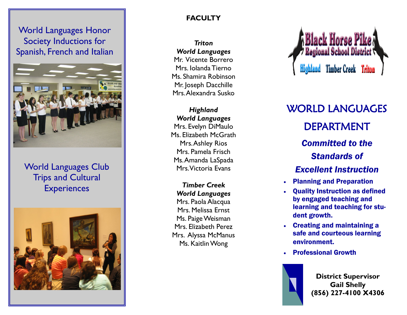World Languages Honor Society Inductions for Spanish, French and Italian



## World Languages Club Trips and Cultural **Experiences**



### **FACULTY**

*Triton World Languages* Mr. Vicente Borrero

Mrs. Iolanda Tierno Ms. Shamira Robinson Mr. Joseph Dacchille Mrs. Alexandra Susko

### *Highland World Languages*

Mrs. Evelyn DiMaulo Ms. Elizabeth McGrath Mrs. Ashley Rios Mrs. Pamela Frisch Ms. Amanda LaSpada Mrs. Victoria Evans

*Timber Creek World Languages* Mrs. Paola Alacqua Mrs. Melissa Ernst Ms. Paige Weisman Mrs. Elizabeth Perez Mrs. Alyssa McManus Ms. Kaitlin Wong



WORLD LANGUAGES DEPARTMENT *Committed to the Standards of Excellent Instruction*

- Planning and Preparation
- Quality Instruction as defined by engaged teaching and learning and teaching for student growth.
- Creating and maintaining a safe and courteous learning environment.
- Professional Growth



**District Supervisor Gail Shelly (856) 227 -4100 X4306**